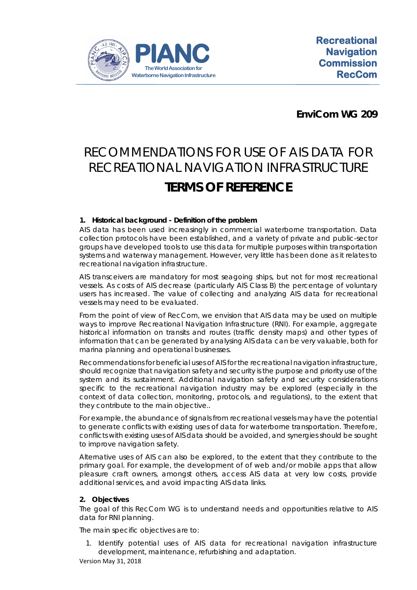

**EnviCom WG 209**

# RECOMMENDATIONS FOR USE OF AIS DATA FOR RECREATIONAL NAVIGATION INFRASTRUCTURE **TERMS OF REFERENCE**

# **1. Historical background - Definition of the problem**

AIS data has been used increasingly in commercial waterborne transportation. Data collection protocols have been established, and a variety of private and public-sector groups have developed tools to use this data for multiple purposes within transportation systems and waterway management. However, very little has been done as it relates to recreational navigation infrastructure.

AIS transceivers are mandatory for most seagoing ships, but not for most recreational vessels. As costs of AIS decrease (particularly AIS Class B) the percentage of voluntary users has increased. The value of collecting and analyzing AIS data for recreational vessels may need to be evaluated.

From the point of view of RecCom, we envision that AIS data may be used on multiple ways to improve Recreational Navigation Infrastructure (RNI). For example, aggregate historical information on transits and routes (traffic density maps) and other types of information that can be generated by analysing AIS data can be very valuable, both for marina planning and operational businesses.

Recommendations for beneficial uses of AIS for the recreational navigation infrastructure, should recognize that navigation safety and security is the purpose and priority use of the system and its sustainment. Additional navigation safety and security considerations specific to the recreational navigation industry may be explored (especially in the context of data collection, monitoring, protocols, and regulations), to the extent that they contribute to the main objective..

For example, the abundance of signals from recreational vessels may have the potential to generate conflicts with existing uses of data for waterborne transportation. Therefore, conflicts with existing uses of AIS data should be avoided, and synergies should be sought to improve navigation safety.

Alternative uses of AIS can also be explored, to the extent that they contribute to the primary goal. For example, the development of of web and/or mobile apps that allow pleasure craft owners, amongst others, access AIS data at very low costs, provide additional services, and avoid impacting AIS data links.

## **2. Objectives**

The goal of this RecCom WG is to understand needs and opportunities relative to AIS data for RNI planning.

The main specific objectives are to:

1. Identify potential uses of AIS data for recreational navigation infrastructure development, maintenance, refurbishing and adaptation.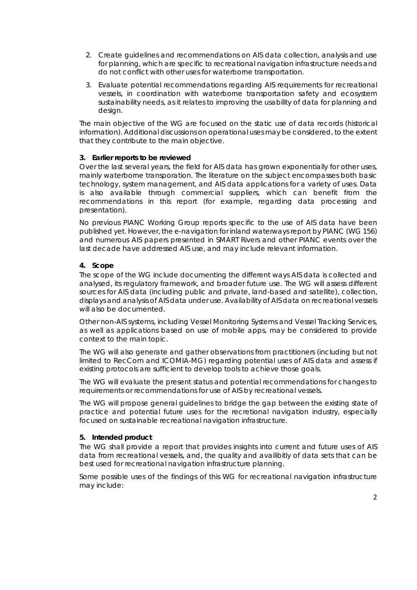- 2. Create guidelines and recommendations on AIS data collection, analysis and use for planning, which are specific to recreational navigation infrastructure needs and do not conflict with other uses for waterborne transportation.
- 3. Evaluate potential recommendations regarding AIS requirements for recreational vessels, in coordination with waterborne transportation safety and ecosystem sustainability needs, as it relates to improving the usability of data for planning and design.

The main objective of the WG are focused on the static use of data records (historical information). Additional discussions on operational uses may be considered, to the extent that they contribute to the main objective.

## **3. Earlier reports to be reviewed**

Over the last several years, the field for AIS data has grown exponentially for other uses, mainly waterborne transporation. The literature on the subject encompasses both basic technology, system management, and AIS data applications for a variety of uses. Data is also available through commercial suppliers, which can benefit from the recommendations in this report (for example, regarding data processing and presentation).

No previous PIANC Working Group reports specific to the use of AIS data have been published yet. However, the e-navigation for inland waterways report by PIANC (WG 156) and numerous AIS papers presented in SMART Rivers and other PIANC events over the last decade have addressed AIS use, and may include relevant information.

## **4. Scope**

The scope of the WG include documenting the different ways AIS data is collected and analysed, its regulatory framework, and broader future use. The WG will assess different sources for AIS data (including public and private, land-based and satellite), collection, displays and analysis of AIS data under use. Availability of AIS data on recreational vessels will also be documented.

Other non-AIS systems, including Vessel Monitoring Systems and Vessel Tracking Services, as well as applications based on use of mobile apps, may be considered to provide context to the main topic.

The WG will also generate and gather observations from practitioners (including but not limited to RecCom and ICOMIA-MG) regarding potential uses of AIS data and assess if existing protocols are sufficient to develop tools to achieve those goals.

The WG will evaluate the present status and potential recommendations for changes to requirements or recommendations for use of AIS by recreational vessels.

The WG will propose general guidelines to bridge the gap between the existing state of practice and potential future uses for the recretional navigation industry, especially focused on sustainable recreational navigation infrastructure.

## **5. Intended product**

The WG shall provide a report that provides insights into current and future uses of AIS data from recreational vessels, and, the quality and availibitly of data sets that can be best used for recreational navigation infrastructure planning.

Some possible uses of the findings of this WG for recreational navigation infrastructure may include: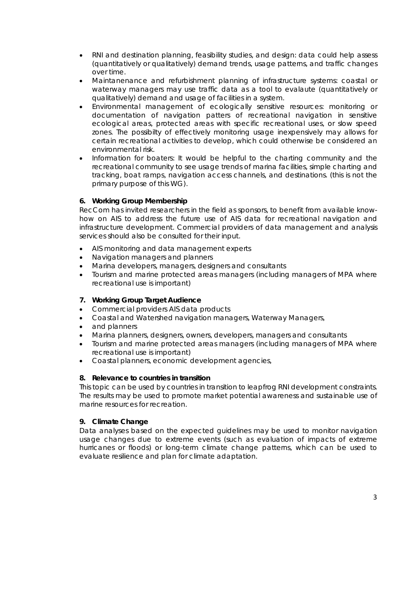- RNI and destination planning, feasibility studies, and design: data could help assess (quantitatively or qualitatively) demand trends, usage patterns, and traffic changes over time.
- Maintanenance and refurbishment planning of infrastructure systems: coastal or waterway managers may use traffic data as a tool to evalaute (quantitatively or qualitatively) demand and usage of facilities in a system.
- Environmental management of ecologically sensitive resources: monitoring or documentation of navigation patters of recreational navigation in sensitive ecological areas, protected areas with specific recreational uses, or slow speed zones. The possibilty of effectively monitoring usage inexpensively may allows for certain recreational activities to develop, which could otherwise be considered an environmental risk.
- Information for boaters: It would be helpful to the charting community and the recreational community to see usage trends of marina facilities, simple charting and tracking, boat ramps, navigation access channels, and destinations. (this is not the primary purpose of this WG).

# **6. Working Group Membership**

RecCom has invited researchers in the field as sponsors, to benefit from available knowhow on AIS to address the future use of AIS data for recreational navigation and infrastructure development. Commercial providers of data management and analysis services should also be consulted for their input.

- AIS monitoring and data management experts
- Navigation managers and planners
- Marina developers, managers, designers and consultants
- Tourism and marine protected areas managers (including managers of MPA where recreational use is important)

## **7. Working Group Target Audience**

- Commercial providers AIS data products
- Coastal and Watershed navigation managers, Waterway Managers,
- and planners
- Marina planners, designers, owners, developers, managers and consultants
- Tourism and marine protected areas managers (including managers of MPA where recreational use is important)
- Coastal planners, economic development agencies,

## **8. Relevance to countries in transition**

This topic can be used by countries in transition to leapfrog RNI development constraints. The results may be used to promote market potential awareness and sustainable use of marine resources for recreation.

## **9. Climate Change**

Data analyses based on the expected guidelines may be used to monitor navigation usage changes due to extreme events (such as evaluation of impacts of extreme hurricanes or floods) or long-term climate change patterns, which can be used to evaluate resilience and plan for climate adaptation.